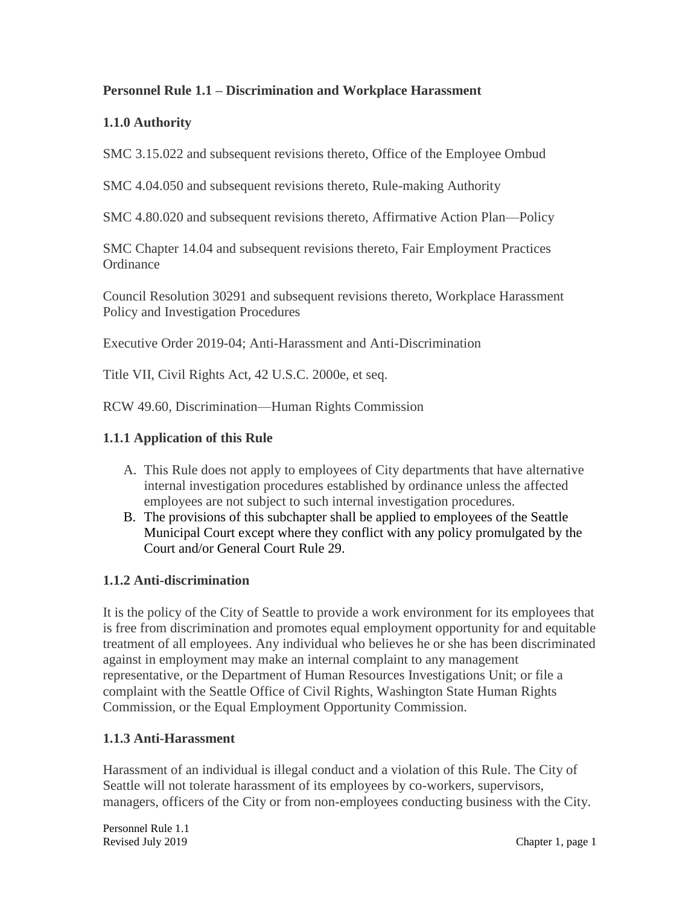## **Personnel Rule 1.1 – Discrimination and Workplace Harassment**

## **1.1.0 Authority**

SMC 3.15.022 and subsequent revisions thereto, Office of the Employee Ombud

SMC 4.04.050 and subsequent revisions thereto, Rule-making Authority

SMC 4.80.020 and subsequent revisions thereto, Affirmative Action Plan—Policy

SMC Chapter 14.04 and subsequent revisions thereto, Fair Employment Practices **Ordinance** 

Council Resolution 30291 and subsequent revisions thereto, Workplace Harassment Policy and Investigation Procedures

Executive Order 2019-04; Anti-Harassment and Anti-Discrimination

Title VII, Civil Rights Act, 42 U.S.C. 2000e, et seq.

RCW 49.60, Discrimination—Human Rights Commission

#### **1.1.1 Application of this Rule**

- A. This Rule does not apply to employees of City departments that have alternative internal investigation procedures established by ordinance unless the affected employees are not subject to such internal investigation procedures.
- B. The provisions of this subchapter shall be applied to employees of the Seattle Municipal Court except where they conflict with any policy promulgated by the Court and/or General Court Rule 29.

#### **1.1.2 Anti-discrimination**

It is the policy of the City of Seattle to provide a work environment for its employees that is free from discrimination and promotes equal employment opportunity for and equitable treatment of all employees. Any individual who believes he or she has been discriminated against in employment may make an internal complaint to any management representative, or the Department of Human Resources Investigations Unit; or file a complaint with the Seattle Office of Civil Rights, Washington State Human Rights Commission, or the Equal Employment Opportunity Commission.

#### **1.1.3 Anti-Harassment**

Harassment of an individual is illegal conduct and a violation of this Rule. The City of Seattle will not tolerate harassment of its employees by co-workers, supervisors, managers, officers of the City or from non-employees conducting business with the City.

Personnel Rule 1.1 Revised July 2019 Chapter 1, page 1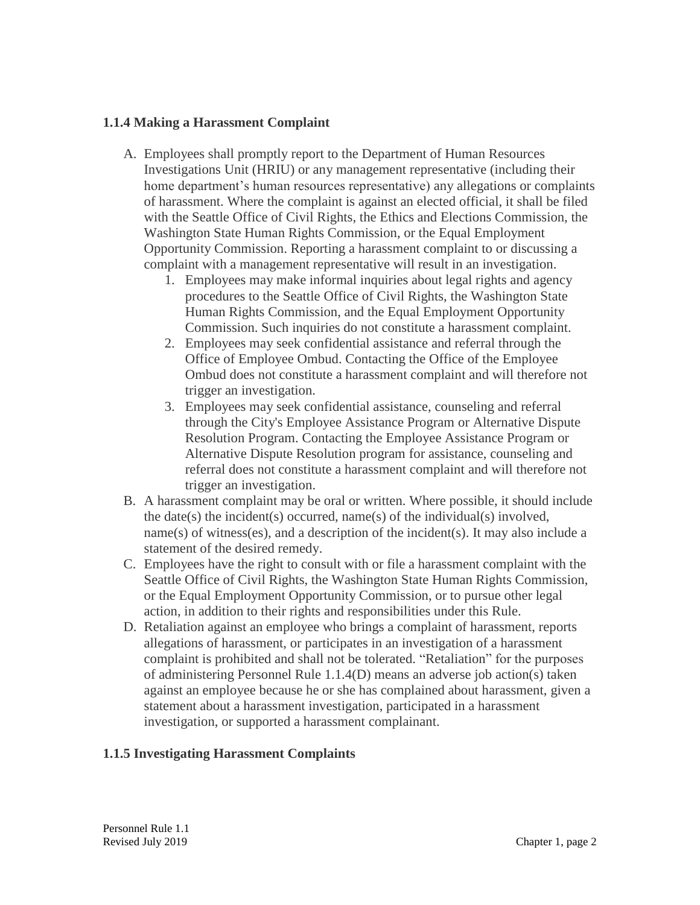## **1.1.4 Making a Harassment Complaint**

- A. Employees shall promptly report to the Department of Human Resources Investigations Unit (HRIU) or any management representative (including their home department's human resources representative) any allegations or complaints of harassment. Where the complaint is against an elected official, it shall be filed with the Seattle Office of Civil Rights, the Ethics and Elections Commission, the Washington State Human Rights Commission, or the Equal Employment Opportunity Commission. Reporting a harassment complaint to or discussing a complaint with a management representative will result in an investigation.
	- 1. Employees may make informal inquiries about legal rights and agency procedures to the Seattle Office of Civil Rights, the Washington State Human Rights Commission, and the Equal Employment Opportunity Commission. Such inquiries do not constitute a harassment complaint.
	- 2. Employees may seek confidential assistance and referral through the Office of Employee Ombud. Contacting the Office of the Employee Ombud does not constitute a harassment complaint and will therefore not trigger an investigation.
	- 3. Employees may seek confidential assistance, counseling and referral through the City's Employee Assistance Program or Alternative Dispute Resolution Program. Contacting the Employee Assistance Program or Alternative Dispute Resolution program for assistance, counseling and referral does not constitute a harassment complaint and will therefore not trigger an investigation.
- B. A harassment complaint may be oral or written. Where possible, it should include the date(s) the incident(s) occurred, name(s) of the individual(s) involved, name(s) of witness(es), and a description of the incident(s). It may also include a statement of the desired remedy.
- C. Employees have the right to consult with or file a harassment complaint with the Seattle Office of Civil Rights, the Washington State Human Rights Commission, or the Equal Employment Opportunity Commission, or to pursue other legal action, in addition to their rights and responsibilities under this Rule.
- D. Retaliation against an employee who brings a complaint of harassment, reports allegations of harassment, or participates in an investigation of a harassment complaint is prohibited and shall not be tolerated. "Retaliation" for the purposes of administering Personnel Rule 1.1.4(D) means an adverse job action(s) taken against an employee because he or she has complained about harassment, given a statement about a harassment investigation, participated in a harassment investigation, or supported a harassment complainant.

# **1.1.5 Investigating Harassment Complaints**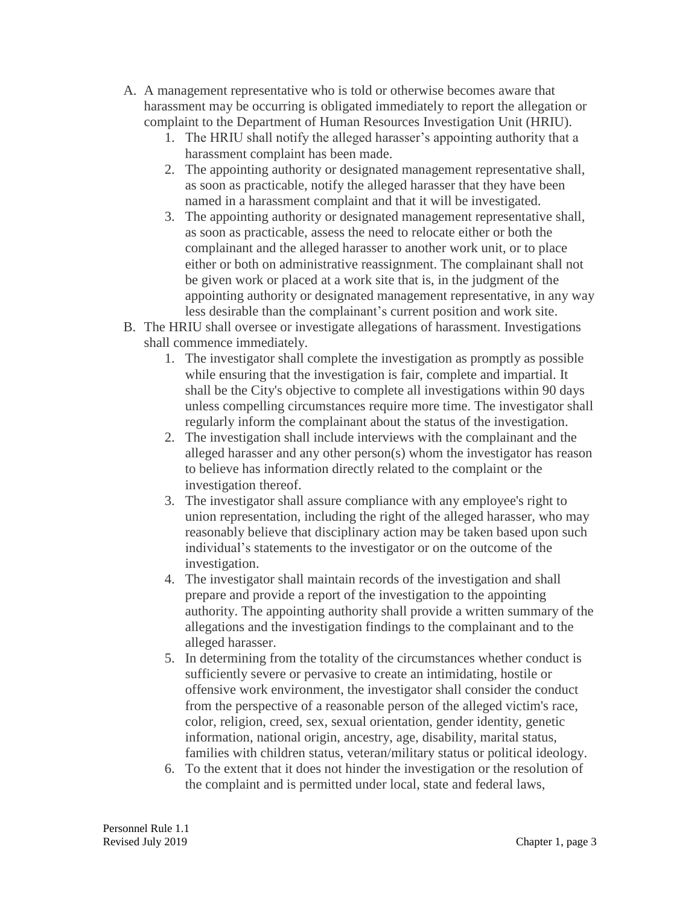- A. A management representative who is told or otherwise becomes aware that harassment may be occurring is obligated immediately to report the allegation or complaint to the Department of Human Resources Investigation Unit (HRIU).
	- 1. The HRIU shall notify the alleged harasser's appointing authority that a harassment complaint has been made.
	- 2. The appointing authority or designated management representative shall, as soon as practicable, notify the alleged harasser that they have been named in a harassment complaint and that it will be investigated.
	- 3. The appointing authority or designated management representative shall, as soon as practicable, assess the need to relocate either or both the complainant and the alleged harasser to another work unit, or to place either or both on administrative reassignment. The complainant shall not be given work or placed at a work site that is, in the judgment of the appointing authority or designated management representative, in any way less desirable than the complainant's current position and work site.
- B. The HRIU shall oversee or investigate allegations of harassment. Investigations shall commence immediately.
	- 1. The investigator shall complete the investigation as promptly as possible while ensuring that the investigation is fair, complete and impartial. It shall be the City's objective to complete all investigations within 90 days unless compelling circumstances require more time. The investigator shall regularly inform the complainant about the status of the investigation.
	- 2. The investigation shall include interviews with the complainant and the alleged harasser and any other person(s) whom the investigator has reason to believe has information directly related to the complaint or the investigation thereof.
	- 3. The investigator shall assure compliance with any employee's right to union representation, including the right of the alleged harasser, who may reasonably believe that disciplinary action may be taken based upon such individual's statements to the investigator or on the outcome of the investigation.
	- 4. The investigator shall maintain records of the investigation and shall prepare and provide a report of the investigation to the appointing authority. The appointing authority shall provide a written summary of the allegations and the investigation findings to the complainant and to the alleged harasser.
	- 5. In determining from the totality of the circumstances whether conduct is sufficiently severe or pervasive to create an intimidating, hostile or offensive work environment, the investigator shall consider the conduct from the perspective of a reasonable person of the alleged victim's race, color, religion, creed, sex, sexual orientation, gender identity, genetic information, national origin, ancestry, age, disability, marital status, families with children status, veteran/military status or political ideology.
	- 6. To the extent that it does not hinder the investigation or the resolution of the complaint and is permitted under local, state and federal laws,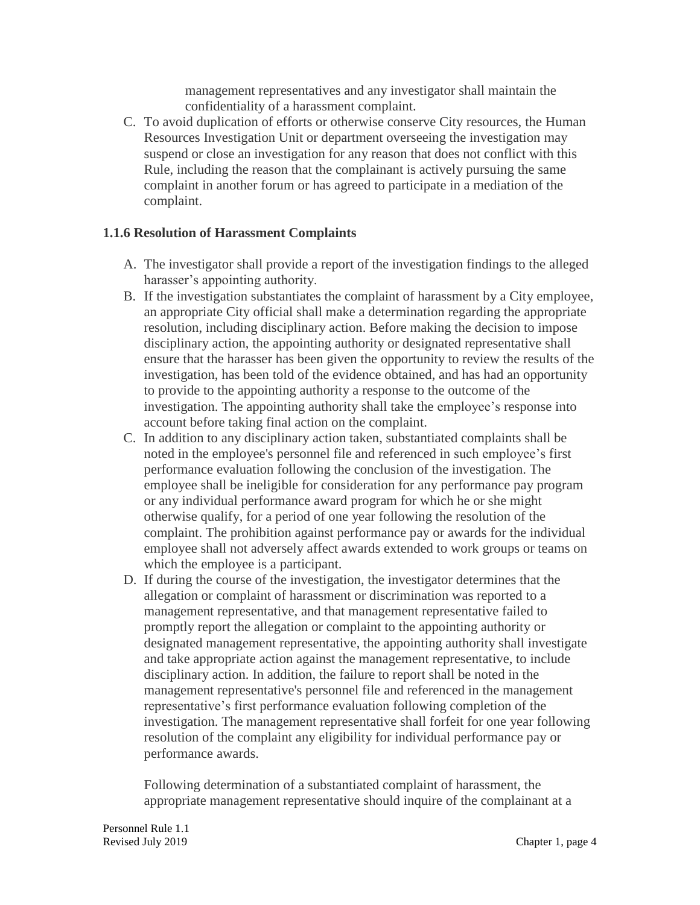management representatives and any investigator shall maintain the confidentiality of a harassment complaint.

C. To avoid duplication of efforts or otherwise conserve City resources, the Human Resources Investigation Unit or department overseeing the investigation may suspend or close an investigation for any reason that does not conflict with this Rule, including the reason that the complainant is actively pursuing the same complaint in another forum or has agreed to participate in a mediation of the complaint.

#### **1.1.6 Resolution of Harassment Complaints**

- A. The investigator shall provide a report of the investigation findings to the alleged harasser's appointing authority.
- B. If the investigation substantiates the complaint of harassment by a City employee, an appropriate City official shall make a determination regarding the appropriate resolution, including disciplinary action. Before making the decision to impose disciplinary action, the appointing authority or designated representative shall ensure that the harasser has been given the opportunity to review the results of the investigation, has been told of the evidence obtained, and has had an opportunity to provide to the appointing authority a response to the outcome of the investigation. The appointing authority shall take the employee's response into account before taking final action on the complaint.
- C. In addition to any disciplinary action taken, substantiated complaints shall be noted in the employee's personnel file and referenced in such employee's first performance evaluation following the conclusion of the investigation. The employee shall be ineligible for consideration for any performance pay program or any individual performance award program for which he or she might otherwise qualify, for a period of one year following the resolution of the complaint. The prohibition against performance pay or awards for the individual employee shall not adversely affect awards extended to work groups or teams on which the employee is a participant.
- D. If during the course of the investigation, the investigator determines that the allegation or complaint of harassment or discrimination was reported to a management representative, and that management representative failed to promptly report the allegation or complaint to the appointing authority or designated management representative, the appointing authority shall investigate and take appropriate action against the management representative, to include disciplinary action. In addition, the failure to report shall be noted in the management representative's personnel file and referenced in the management representative's first performance evaluation following completion of the investigation. The management representative shall forfeit for one year following resolution of the complaint any eligibility for individual performance pay or performance awards.

Following determination of a substantiated complaint of harassment, the appropriate management representative should inquire of the complainant at a